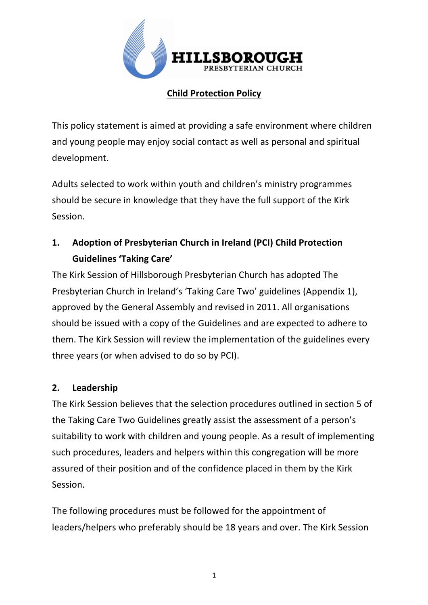

# **Child Protection Policy**

This policy statement is aimed at providing a safe environment where children and young people may enjoy social contact as well as personal and spiritual development.

Adults selected to work within youth and children's ministry programmes should be secure in knowledge that they have the full support of the Kirk Session.

# 1. Adoption of Presbyterian Church in Ireland (PCI) Child Protection **Guidelines 'Taking Care'**

The Kirk Session of Hillsborough Presbyterian Church has adopted The Presbyterian Church in Ireland's 'Taking Care Two' guidelines (Appendix 1), approved by the General Assembly and revised in 2011. All organisations should be issued with a copy of the Guidelines and are expected to adhere to them. The Kirk Session will review the implementation of the guidelines every three years (or when advised to do so by PCI).

## **2. Leadership**

The Kirk Session believes that the selection procedures outlined in section 5 of the Taking Care Two Guidelines greatly assist the assessment of a person's suitability to work with children and young people. As a result of implementing such procedures, leaders and helpers within this congregation will be more assured of their position and of the confidence placed in them by the Kirk Session.

The following procedures must be followed for the appointment of leaders/helpers who preferably should be 18 years and over. The Kirk Session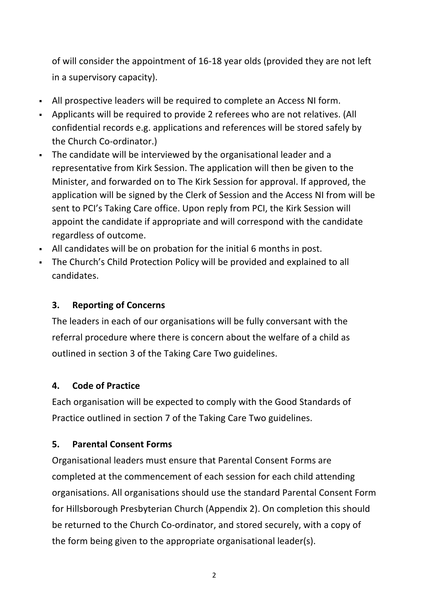of will consider the appointment of 16-18 year olds (provided they are not left in a supervisory capacity).

- All prospective leaders will be required to complete an Access NI form.
- Applicants will be required to provide 2 referees who are not relatives. (All confidential records e.g. applications and references will be stored safely by the Church Co-ordinator.)
- The candidate will be interviewed by the organisational leader and a representative from Kirk Session. The application will then be given to the Minister, and forwarded on to The Kirk Session for approval. If approved, the application will be signed by the Clerk of Session and the Access NI from will be sent to PCI's Taking Care office. Upon reply from PCI, the Kirk Session will appoint the candidate if appropriate and will correspond with the candidate regardless of outcome.
- All candidates will be on probation for the initial 6 months in post.
- The Church's Child Protection Policy will be provided and explained to all candidates.

## **3.** Reporting of Concerns

The leaders in each of our organisations will be fully conversant with the referral procedure where there is concern about the welfare of a child as outlined in section 3 of the Taking Care Two guidelines.

## **4. Code of Practice**

Each organisation will be expected to comply with the Good Standards of Practice outlined in section 7 of the Taking Care Two guidelines.

## **5. Parental Consent Forms**

Organisational leaders must ensure that Parental Consent Forms are completed at the commencement of each session for each child attending organisations. All organisations should use the standard Parental Consent Form for Hillsborough Presbyterian Church (Appendix 2). On completion this should be returned to the Church Co-ordinator, and stored securely, with a copy of the form being given to the appropriate organisational leader(s).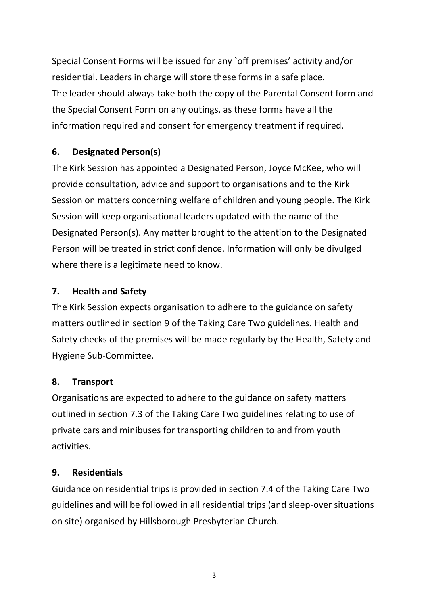Special Consent Forms will be issued for any `off premises' activity and/or residential. Leaders in charge will store these forms in a safe place. The leader should always take both the copy of the Parental Consent form and the Special Consent Form on any outings, as these forms have all the information required and consent for emergency treatment if required.

# **6. Designated Person(s)**

The Kirk Session has appointed a Designated Person, Joyce McKee, who will provide consultation, advice and support to organisations and to the Kirk Session on matters concerning welfare of children and young people. The Kirk Session will keep organisational leaders updated with the name of the Designated Person(s). Any matter brought to the attention to the Designated Person will be treated in strict confidence. Information will only be divulged where there is a legitimate need to know.

# **7. Health and Safety**

The Kirk Session expects organisation to adhere to the guidance on safety matters outlined in section 9 of the Taking Care Two guidelines. Health and Safety checks of the premises will be made regularly by the Health, Safety and Hygiene Sub-Committee.

## **8. Transport**

Organisations are expected to adhere to the guidance on safety matters outlined in section 7.3 of the Taking Care Two guidelines relating to use of private cars and minibuses for transporting children to and from youth activities.

## **9. Residentials**

Guidance on residential trips is provided in section 7.4 of the Taking Care Two guidelines and will be followed in all residential trips (and sleep-over situations on site) organised by Hillsborough Presbyterian Church.

3